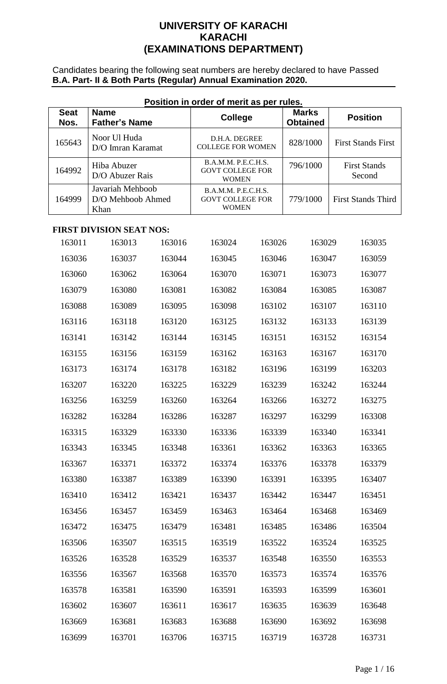# **UNIVERSITY OF KARACHI KARACHI (EXAMINATIONS DEPARTMENT)**

Candidates bearing the following seat numbers are hereby declared to have Passed **B.A. Part- II & Both Parts (Regular) Annual Examination 2020.**

|                     |                                               |        | Position in order of merit as per rules.                       |        |                                 |                               |
|---------------------|-----------------------------------------------|--------|----------------------------------------------------------------|--------|---------------------------------|-------------------------------|
| <b>Seat</b><br>Nos. | <b>Name</b><br><b>Father's Name</b>           |        | <b>College</b>                                                 |        | <b>Marks</b><br><b>Obtained</b> | <b>Position</b>               |
| 165643              | Noor Ul Huda<br>D/O Imran Karamat             |        | D.H.A. DEGREE<br><b>COLLEGE FOR WOMEN</b>                      |        | 828/1000                        | <b>First Stands First</b>     |
| 164992              | Hiba Abuzer<br>D/O Abuzer Rais                |        | B.A.M.M. P.E.C.H.S.<br><b>GOVT COLLEGE FOR</b><br><b>WOMEN</b> |        | 796/1000                        | <b>First Stands</b><br>Second |
| 164999              | Javariah Mehboob<br>D/O Mehboob Ahmed<br>Khan |        | B.A.M.M. P.E.C.H.S.<br><b>GOVT COLLEGE FOR</b><br><b>WOMEN</b> |        | 779/1000                        | <b>First Stands Third</b>     |
|                     | <b>FIRST DIVISION SEAT NOS:</b>               |        |                                                                |        |                                 |                               |
| 163011              | 163013                                        | 163016 | 163024                                                         | 163026 | 163029                          | 163035                        |
| 163036              | 163037                                        | 163044 | 163045                                                         | 163046 | 163047                          | 163059                        |
| 163060              | 163062                                        | 163064 | 163070                                                         | 163071 | 163073                          | 163077                        |
| 163079              | 163080                                        | 163081 | 163082                                                         | 163084 | 163085                          | 163087                        |
| 163088              | 163089                                        | 163095 | 163098                                                         | 163102 | 163107                          | 163110                        |
| 163116              | 163118                                        | 163120 | 163125                                                         | 163132 | 163133                          | 163139                        |
| 163141              | 163142                                        | 163144 | 163145                                                         | 163151 | 163152                          | 163154                        |
| 163155              | 163156                                        | 163159 | 163162                                                         | 163163 | 163167                          | 163170                        |
| 163173              | 163174                                        | 163178 | 163182                                                         | 163196 | 163199                          | 163203                        |
| 163207              | 163220                                        | 163225 | 163229                                                         | 163239 | 163242                          | 163244                        |
| 163256              | 163259                                        | 163260 | 163264                                                         | 163266 | 163272                          | 163275                        |
| 163282              | 163284                                        | 163286 | 163287                                                         | 163297 | 163299                          | 163308                        |
| 163315              | 163329                                        | 163330 | 163336                                                         | 163339 | 163340                          | 163341                        |
| 163343              | 163345                                        | 163348 | 163361                                                         | 163362 | 163363                          | 163365                        |
| 163367              | 163371                                        | 163372 | 163374                                                         | 163376 | 163378                          | 163379                        |
| 163380              | 163387                                        | 163389 | 163390                                                         | 163391 | 163395                          | 163407                        |
| 163410              | 163412                                        | 163421 | 163437                                                         | 163442 | 163447                          | 163451                        |
| 163456              | 163457                                        | 163459 | 163463                                                         | 163464 | 163468                          | 163469                        |
| 163472              | 163475                                        | 163479 | 163481                                                         | 163485 | 163486                          | 163504                        |
| 163506              | 163507                                        | 163515 | 163519                                                         | 163522 | 163524                          | 163525                        |
| 163526              | 163528                                        | 163529 | 163537                                                         | 163548 | 163550                          | 163553                        |
| 163556              | 163567                                        | 163568 | 163570                                                         | 163573 | 163574                          | 163576                        |
| 163578              | 163581                                        | 163590 | 163591                                                         | 163593 | 163599                          | 163601                        |
| 163602              | 163607                                        | 163611 | 163617                                                         | 163635 | 163639                          | 163648                        |
| 163669              | 163681                                        | 163683 | 163688                                                         | 163690 | 163692                          | 163698                        |
| 163699              | 163701                                        | 163706 | 163715                                                         | 163719 | 163728                          | 163731                        |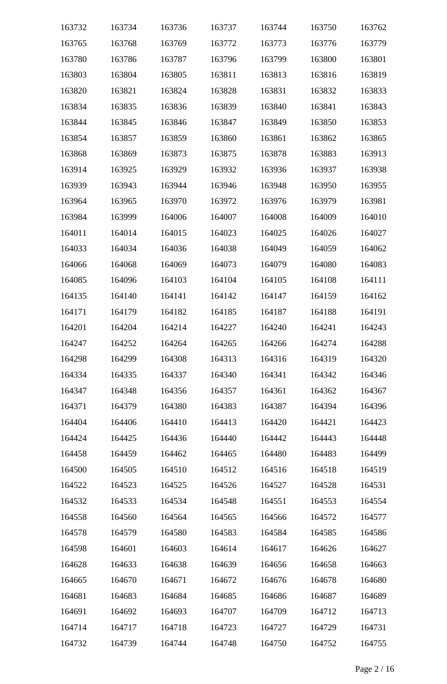| 163732 | 163734 | 163736 | 163737 | 163744 | 163750 | 163762 |
|--------|--------|--------|--------|--------|--------|--------|
| 163765 | 163768 | 163769 | 163772 | 163773 | 163776 | 163779 |
| 163780 | 163786 | 163787 | 163796 | 163799 | 163800 | 163801 |
| 163803 | 163804 | 163805 | 163811 | 163813 | 163816 | 163819 |
| 163820 | 163821 | 163824 | 163828 | 163831 | 163832 | 163833 |
| 163834 | 163835 | 163836 | 163839 | 163840 | 163841 | 163843 |
| 163844 | 163845 | 163846 | 163847 | 163849 | 163850 | 163853 |
| 163854 | 163857 | 163859 | 163860 | 163861 | 163862 | 163865 |
| 163868 | 163869 | 163873 | 163875 | 163878 | 163883 | 163913 |
| 163914 | 163925 | 163929 | 163932 | 163936 | 163937 | 163938 |
| 163939 | 163943 | 163944 | 163946 | 163948 | 163950 | 163955 |
| 163964 | 163965 | 163970 | 163972 | 163976 | 163979 | 163981 |
| 163984 | 163999 | 164006 | 164007 | 164008 | 164009 | 164010 |
| 164011 | 164014 | 164015 | 164023 | 164025 | 164026 | 164027 |
| 164033 | 164034 | 164036 | 164038 | 164049 | 164059 | 164062 |
| 164066 | 164068 | 164069 | 164073 | 164079 | 164080 | 164083 |
| 164085 | 164096 | 164103 | 164104 | 164105 | 164108 | 164111 |
| 164135 | 164140 | 164141 | 164142 | 164147 | 164159 | 164162 |
| 164171 | 164179 | 164182 | 164185 | 164187 | 164188 | 164191 |
| 164201 | 164204 | 164214 | 164227 | 164240 | 164241 | 164243 |
| 164247 | 164252 | 164264 | 164265 | 164266 | 164274 | 164288 |
| 164298 | 164299 | 164308 | 164313 | 164316 | 164319 | 164320 |
| 164334 | 164335 | 164337 | 164340 | 164341 | 164342 | 164346 |
| 164347 | 164348 | 164356 | 164357 | 164361 | 164362 | 164367 |
| 164371 | 164379 | 164380 | 164383 | 164387 | 164394 | 164396 |
| 164404 | 164406 | 164410 | 164413 | 164420 | 164421 | 164423 |
| 164424 | 164425 | 164436 | 164440 | 164442 | 164443 | 164448 |
| 164458 | 164459 | 164462 | 164465 | 164480 | 164483 | 164499 |
| 164500 | 164505 | 164510 | 164512 | 164516 | 164518 | 164519 |
| 164522 | 164523 | 164525 | 164526 | 164527 | 164528 | 164531 |
| 164532 | 164533 | 164534 | 164548 | 164551 | 164553 | 164554 |
| 164558 | 164560 | 164564 | 164565 | 164566 | 164572 | 164577 |
| 164578 | 164579 | 164580 | 164583 | 164584 | 164585 | 164586 |
| 164598 | 164601 | 164603 | 164614 | 164617 | 164626 | 164627 |
| 164628 | 164633 | 164638 | 164639 | 164656 | 164658 | 164663 |
| 164665 | 164670 | 164671 | 164672 | 164676 | 164678 | 164680 |
| 164681 | 164683 | 164684 | 164685 | 164686 | 164687 | 164689 |
| 164691 | 164692 | 164693 | 164707 | 164709 | 164712 | 164713 |
| 164714 | 164717 | 164718 | 164723 | 164727 | 164729 | 164731 |
| 164732 | 164739 | 164744 | 164748 | 164750 | 164752 | 164755 |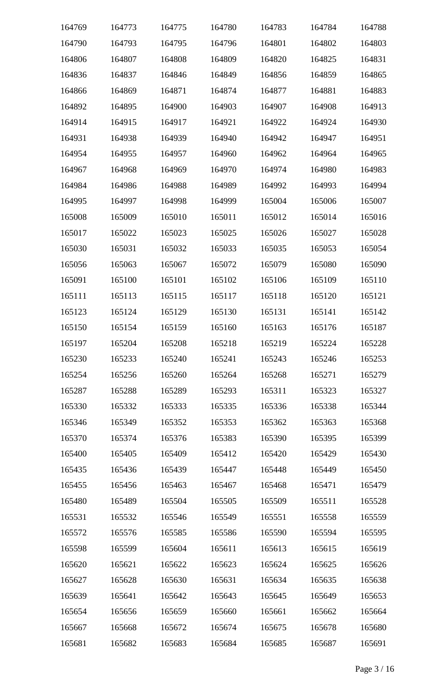| 164769 | 164773 | 164775 | 164780 | 164783 | 164784 | 164788 |
|--------|--------|--------|--------|--------|--------|--------|
| 164790 | 164793 | 164795 | 164796 | 164801 | 164802 | 164803 |
| 164806 | 164807 | 164808 | 164809 | 164820 | 164825 | 164831 |
| 164836 | 164837 | 164846 | 164849 | 164856 | 164859 | 164865 |
| 164866 | 164869 | 164871 | 164874 | 164877 | 164881 | 164883 |
| 164892 | 164895 | 164900 | 164903 | 164907 | 164908 | 164913 |
| 164914 | 164915 | 164917 | 164921 | 164922 | 164924 | 164930 |
| 164931 | 164938 | 164939 | 164940 | 164942 | 164947 | 164951 |
| 164954 | 164955 | 164957 | 164960 | 164962 | 164964 | 164965 |
| 164967 | 164968 | 164969 | 164970 | 164974 | 164980 | 164983 |
| 164984 | 164986 | 164988 | 164989 | 164992 | 164993 | 164994 |
| 164995 | 164997 | 164998 | 164999 | 165004 | 165006 | 165007 |
| 165008 | 165009 | 165010 | 165011 | 165012 | 165014 | 165016 |
| 165017 | 165022 | 165023 | 165025 | 165026 | 165027 | 165028 |
| 165030 | 165031 | 165032 | 165033 | 165035 | 165053 | 165054 |
| 165056 | 165063 | 165067 | 165072 | 165079 | 165080 | 165090 |
| 165091 | 165100 | 165101 | 165102 | 165106 | 165109 | 165110 |
| 165111 | 165113 | 165115 | 165117 | 165118 | 165120 | 165121 |
| 165123 | 165124 | 165129 | 165130 | 165131 | 165141 | 165142 |
| 165150 | 165154 | 165159 | 165160 | 165163 | 165176 | 165187 |
| 165197 | 165204 | 165208 | 165218 | 165219 | 165224 | 165228 |
| 165230 | 165233 | 165240 | 165241 | 165243 | 165246 | 165253 |
| 165254 | 165256 | 165260 | 165264 | 165268 | 165271 | 165279 |
| 165287 | 165288 | 165289 | 165293 | 165311 | 165323 | 165327 |
| 165330 | 165332 | 165333 | 165335 | 165336 | 165338 | 165344 |
| 165346 | 165349 | 165352 | 165353 | 165362 | 165363 | 165368 |
| 165370 | 165374 | 165376 | 165383 | 165390 | 165395 | 165399 |
| 165400 | 165405 | 165409 | 165412 | 165420 | 165429 | 165430 |
| 165435 | 165436 | 165439 | 165447 | 165448 | 165449 | 165450 |
| 165455 | 165456 | 165463 | 165467 | 165468 | 165471 | 165479 |
| 165480 | 165489 | 165504 | 165505 | 165509 | 165511 | 165528 |
| 165531 | 165532 | 165546 | 165549 | 165551 | 165558 | 165559 |
| 165572 | 165576 | 165585 | 165586 | 165590 | 165594 | 165595 |
| 165598 | 165599 | 165604 | 165611 | 165613 | 165615 | 165619 |
| 165620 | 165621 | 165622 | 165623 | 165624 | 165625 | 165626 |
| 165627 | 165628 | 165630 | 165631 | 165634 | 165635 | 165638 |
| 165639 | 165641 | 165642 | 165643 | 165645 | 165649 | 165653 |
| 165654 | 165656 | 165659 | 165660 | 165661 | 165662 | 165664 |
| 165667 | 165668 | 165672 | 165674 | 165675 | 165678 | 165680 |
| 165681 | 165682 | 165683 | 165684 | 165685 | 165687 | 165691 |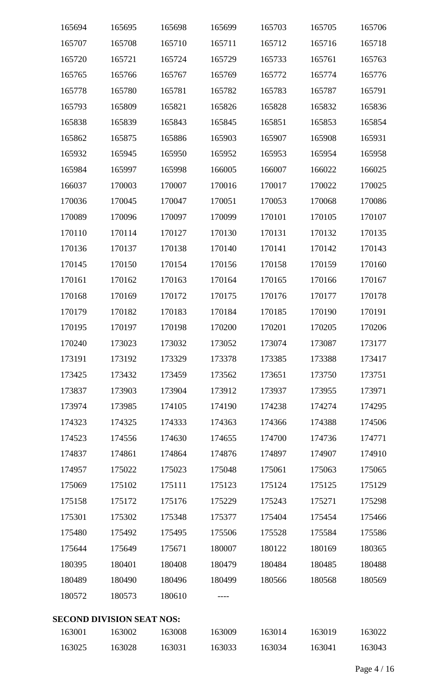| 165694 | 165695                           | 165698 | 165699 | 165703 | 165705 | 165706 |
|--------|----------------------------------|--------|--------|--------|--------|--------|
| 165707 | 165708                           | 165710 | 165711 | 165712 | 165716 | 165718 |
| 165720 | 165721                           | 165724 | 165729 | 165733 | 165761 | 165763 |
| 165765 | 165766                           | 165767 | 165769 | 165772 | 165774 | 165776 |
| 165778 | 165780                           | 165781 | 165782 | 165783 | 165787 | 165791 |
| 165793 | 165809                           | 165821 | 165826 | 165828 | 165832 | 165836 |
| 165838 | 165839                           | 165843 | 165845 | 165851 | 165853 | 165854 |
| 165862 | 165875                           | 165886 | 165903 | 165907 | 165908 | 165931 |
| 165932 | 165945                           | 165950 | 165952 | 165953 | 165954 | 165958 |
| 165984 | 165997                           | 165998 | 166005 | 166007 | 166022 | 166025 |
| 166037 | 170003                           | 170007 | 170016 | 170017 | 170022 | 170025 |
| 170036 | 170045                           | 170047 | 170051 | 170053 | 170068 | 170086 |
| 170089 | 170096                           | 170097 | 170099 | 170101 | 170105 | 170107 |
| 170110 | 170114                           | 170127 | 170130 | 170131 | 170132 | 170135 |
| 170136 | 170137                           | 170138 | 170140 | 170141 | 170142 | 170143 |
| 170145 | 170150                           | 170154 | 170156 | 170158 | 170159 | 170160 |
| 170161 | 170162                           | 170163 | 170164 | 170165 | 170166 | 170167 |
| 170168 | 170169                           | 170172 | 170175 | 170176 | 170177 | 170178 |
| 170179 | 170182                           | 170183 | 170184 | 170185 | 170190 | 170191 |
| 170195 | 170197                           | 170198 | 170200 | 170201 | 170205 | 170206 |
| 170240 | 173023                           | 173032 | 173052 | 173074 | 173087 | 173177 |
| 173191 | 173192                           | 173329 | 173378 | 173385 | 173388 | 173417 |
| 173425 | 173432                           | 173459 | 173562 | 173651 | 173750 | 173751 |
| 173837 | 173903                           | 173904 | 173912 | 173937 | 173955 | 173971 |
| 173974 | 173985                           | 174105 | 174190 | 174238 | 174274 | 174295 |
| 174323 | 174325                           | 174333 | 174363 | 174366 | 174388 | 174506 |
| 174523 | 174556                           | 174630 | 174655 | 174700 | 174736 | 174771 |
| 174837 | 174861                           | 174864 | 174876 | 174897 | 174907 | 174910 |
| 174957 | 175022                           | 175023 | 175048 | 175061 | 175063 | 175065 |
| 175069 | 175102                           | 175111 | 175123 | 175124 | 175125 | 175129 |
| 175158 | 175172                           | 175176 | 175229 | 175243 | 175271 | 175298 |
| 175301 | 175302                           | 175348 | 175377 | 175404 | 175454 | 175466 |
| 175480 | 175492                           | 175495 | 175506 | 175528 | 175584 | 175586 |
| 175644 | 175649                           | 175671 | 180007 | 180122 | 180169 | 180365 |
| 180395 | 180401                           | 180408 | 180479 | 180484 | 180485 | 180488 |
| 180489 | 180490                           | 180496 | 180499 | 180566 | 180568 | 180569 |
| 180572 | 180573                           | 180610 |        |        |        |        |
|        | <b>SECOND DIVISION SEAT NOS:</b> |        |        |        |        |        |
| 163001 | 163002                           | 163008 | 163009 | 163014 | 163019 | 163022 |
| 163025 | 163028                           | 163031 | 163033 | 163034 | 163041 | 163043 |
|        |                                  |        |        |        |        |        |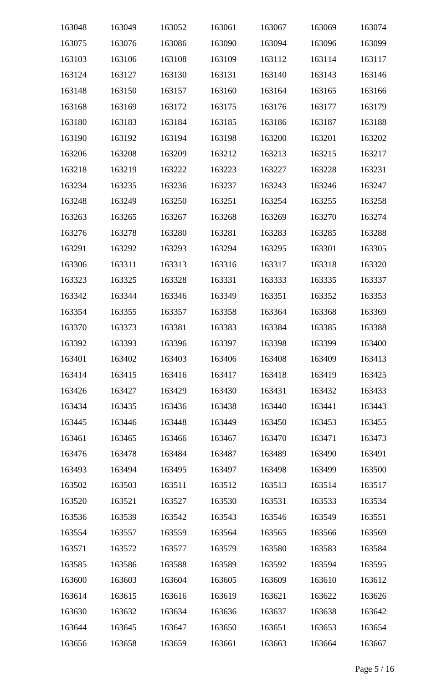| 163048 | 163049 | 163052 | 163061 | 163067 | 163069 | 163074 |
|--------|--------|--------|--------|--------|--------|--------|
| 163075 | 163076 | 163086 | 163090 | 163094 | 163096 | 163099 |
| 163103 | 163106 | 163108 | 163109 | 163112 | 163114 | 163117 |
| 163124 | 163127 | 163130 | 163131 | 163140 | 163143 | 163146 |
| 163148 | 163150 | 163157 | 163160 | 163164 | 163165 | 163166 |
| 163168 | 163169 | 163172 | 163175 | 163176 | 163177 | 163179 |
| 163180 | 163183 | 163184 | 163185 | 163186 | 163187 | 163188 |
| 163190 | 163192 | 163194 | 163198 | 163200 | 163201 | 163202 |
| 163206 | 163208 | 163209 | 163212 | 163213 | 163215 | 163217 |
| 163218 | 163219 | 163222 | 163223 | 163227 | 163228 | 163231 |
| 163234 | 163235 | 163236 | 163237 | 163243 | 163246 | 163247 |
| 163248 | 163249 | 163250 | 163251 | 163254 | 163255 | 163258 |
| 163263 | 163265 | 163267 | 163268 | 163269 | 163270 | 163274 |
| 163276 | 163278 | 163280 | 163281 | 163283 | 163285 | 163288 |
| 163291 | 163292 | 163293 | 163294 | 163295 | 163301 | 163305 |
| 163306 | 163311 | 163313 | 163316 | 163317 | 163318 | 163320 |
| 163323 | 163325 | 163328 | 163331 | 163333 | 163335 | 163337 |
| 163342 | 163344 | 163346 | 163349 | 163351 | 163352 | 163353 |
| 163354 | 163355 | 163357 | 163358 | 163364 | 163368 | 163369 |
| 163370 | 163373 | 163381 | 163383 | 163384 | 163385 | 163388 |
| 163392 | 163393 | 163396 | 163397 | 163398 | 163399 | 163400 |
| 163401 | 163402 | 163403 | 163406 | 163408 | 163409 | 163413 |
| 163414 | 163415 | 163416 | 163417 | 163418 | 163419 | 163425 |
| 163426 | 163427 | 163429 | 163430 | 163431 | 163432 | 163433 |
| 163434 | 163435 | 163436 | 163438 | 163440 | 163441 | 163443 |
| 163445 | 163446 | 163448 | 163449 | 163450 | 163453 | 163455 |
| 163461 | 163465 | 163466 | 163467 | 163470 | 163471 | 163473 |
| 163476 | 163478 | 163484 | 163487 | 163489 | 163490 | 163491 |
| 163493 | 163494 | 163495 | 163497 | 163498 | 163499 | 163500 |
| 163502 | 163503 | 163511 | 163512 | 163513 | 163514 | 163517 |
| 163520 | 163521 | 163527 | 163530 | 163531 | 163533 | 163534 |
| 163536 | 163539 | 163542 | 163543 | 163546 | 163549 | 163551 |
| 163554 | 163557 | 163559 | 163564 | 163565 | 163566 | 163569 |
| 163571 | 163572 | 163577 | 163579 | 163580 | 163583 | 163584 |
| 163585 | 163586 | 163588 | 163589 | 163592 | 163594 | 163595 |
| 163600 | 163603 | 163604 | 163605 | 163609 | 163610 | 163612 |
| 163614 | 163615 | 163616 | 163619 | 163621 | 163622 | 163626 |
| 163630 | 163632 | 163634 | 163636 | 163637 | 163638 | 163642 |
| 163644 | 163645 | 163647 | 163650 | 163651 | 163653 | 163654 |
| 163656 | 163658 | 163659 | 163661 | 163663 | 163664 | 163667 |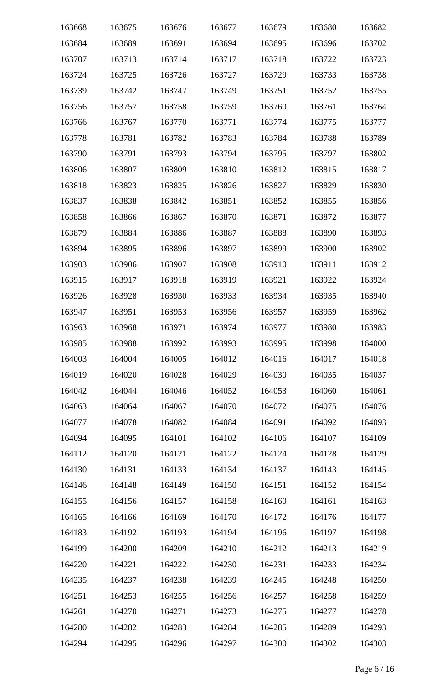| 163668 | 163675 | 163676 | 163677 | 163679 | 163680 | 163682 |
|--------|--------|--------|--------|--------|--------|--------|
| 163684 | 163689 | 163691 | 163694 | 163695 | 163696 | 163702 |
| 163707 | 163713 | 163714 | 163717 | 163718 | 163722 | 163723 |
| 163724 | 163725 | 163726 | 163727 | 163729 | 163733 | 163738 |
| 163739 | 163742 | 163747 | 163749 | 163751 | 163752 | 163755 |
| 163756 | 163757 | 163758 | 163759 | 163760 | 163761 | 163764 |
| 163766 | 163767 | 163770 | 163771 | 163774 | 163775 | 163777 |
| 163778 | 163781 | 163782 | 163783 | 163784 | 163788 | 163789 |
| 163790 | 163791 | 163793 | 163794 | 163795 | 163797 | 163802 |
| 163806 | 163807 | 163809 | 163810 | 163812 | 163815 | 163817 |
| 163818 | 163823 | 163825 | 163826 | 163827 | 163829 | 163830 |
| 163837 | 163838 | 163842 | 163851 | 163852 | 163855 | 163856 |
| 163858 | 163866 | 163867 | 163870 | 163871 | 163872 | 163877 |
| 163879 | 163884 | 163886 | 163887 | 163888 | 163890 | 163893 |
| 163894 | 163895 | 163896 | 163897 | 163899 | 163900 | 163902 |
| 163903 | 163906 | 163907 | 163908 | 163910 | 163911 | 163912 |
| 163915 | 163917 | 163918 | 163919 | 163921 | 163922 | 163924 |
| 163926 | 163928 | 163930 | 163933 | 163934 | 163935 | 163940 |
| 163947 | 163951 | 163953 | 163956 | 163957 | 163959 | 163962 |
| 163963 | 163968 | 163971 | 163974 | 163977 | 163980 | 163983 |
| 163985 | 163988 | 163992 | 163993 | 163995 | 163998 | 164000 |
| 164003 | 164004 | 164005 | 164012 | 164016 | 164017 | 164018 |
| 164019 | 164020 | 164028 | 164029 | 164030 | 164035 | 164037 |
| 164042 | 164044 | 164046 | 164052 | 164053 | 164060 | 164061 |
| 164063 | 164064 | 164067 | 164070 | 164072 | 164075 | 164076 |
| 164077 | 164078 | 164082 | 164084 | 164091 | 164092 | 164093 |
| 164094 | 164095 | 164101 | 164102 | 164106 | 164107 | 164109 |
| 164112 | 164120 | 164121 | 164122 | 164124 | 164128 | 164129 |
| 164130 | 164131 | 164133 | 164134 | 164137 | 164143 | 164145 |
| 164146 | 164148 | 164149 | 164150 | 164151 | 164152 | 164154 |
| 164155 | 164156 | 164157 | 164158 | 164160 | 164161 | 164163 |
| 164165 | 164166 | 164169 | 164170 | 164172 | 164176 | 164177 |
| 164183 | 164192 | 164193 | 164194 | 164196 | 164197 | 164198 |
| 164199 | 164200 | 164209 | 164210 | 164212 | 164213 | 164219 |
| 164220 | 164221 | 164222 | 164230 | 164231 | 164233 | 164234 |
| 164235 | 164237 | 164238 | 164239 | 164245 | 164248 | 164250 |
| 164251 | 164253 | 164255 | 164256 | 164257 | 164258 | 164259 |
| 164261 | 164270 | 164271 | 164273 | 164275 | 164277 | 164278 |
| 164280 | 164282 | 164283 | 164284 | 164285 | 164289 | 164293 |
| 164294 | 164295 | 164296 | 164297 | 164300 | 164302 | 164303 |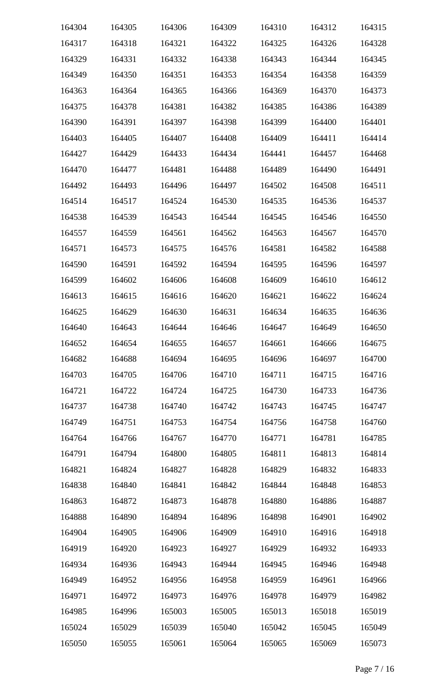| 164304 | 164305 | 164306 | 164309 | 164310 | 164312 | 164315 |
|--------|--------|--------|--------|--------|--------|--------|
| 164317 | 164318 | 164321 | 164322 | 164325 | 164326 | 164328 |
| 164329 | 164331 | 164332 | 164338 | 164343 | 164344 | 164345 |
| 164349 | 164350 | 164351 | 164353 | 164354 | 164358 | 164359 |
| 164363 | 164364 | 164365 | 164366 | 164369 | 164370 | 164373 |
| 164375 | 164378 | 164381 | 164382 | 164385 | 164386 | 164389 |
| 164390 | 164391 | 164397 | 164398 | 164399 | 164400 | 164401 |
| 164403 | 164405 | 164407 | 164408 | 164409 | 164411 | 164414 |
| 164427 | 164429 | 164433 | 164434 | 164441 | 164457 | 164468 |
| 164470 | 164477 | 164481 | 164488 | 164489 | 164490 | 164491 |
| 164492 | 164493 | 164496 | 164497 | 164502 | 164508 | 164511 |
| 164514 | 164517 | 164524 | 164530 | 164535 | 164536 | 164537 |
| 164538 | 164539 | 164543 | 164544 | 164545 | 164546 | 164550 |
| 164557 | 164559 | 164561 | 164562 | 164563 | 164567 | 164570 |
| 164571 | 164573 | 164575 | 164576 | 164581 | 164582 | 164588 |
| 164590 | 164591 | 164592 | 164594 | 164595 | 164596 | 164597 |
| 164599 | 164602 | 164606 | 164608 | 164609 | 164610 | 164612 |
| 164613 | 164615 | 164616 | 164620 | 164621 | 164622 | 164624 |
| 164625 | 164629 | 164630 | 164631 | 164634 | 164635 | 164636 |
| 164640 | 164643 | 164644 | 164646 | 164647 | 164649 | 164650 |
| 164652 | 164654 | 164655 | 164657 | 164661 | 164666 | 164675 |
| 164682 | 164688 | 164694 | 164695 | 164696 | 164697 | 164700 |
| 164703 | 164705 | 164706 | 164710 | 164711 | 164715 | 164716 |
| 164721 | 164722 | 164724 | 164725 | 164730 | 164733 | 164736 |
| 164737 | 164738 | 164740 | 164742 | 164743 | 164745 | 164747 |
| 164749 | 164751 | 164753 | 164754 | 164756 | 164758 | 164760 |
| 164764 | 164766 | 164767 | 164770 | 164771 | 164781 | 164785 |
| 164791 | 164794 | 164800 | 164805 | 164811 | 164813 | 164814 |
| 164821 | 164824 | 164827 | 164828 | 164829 | 164832 | 164833 |
| 164838 | 164840 | 164841 | 164842 | 164844 | 164848 | 164853 |
| 164863 | 164872 | 164873 | 164878 | 164880 | 164886 | 164887 |
| 164888 | 164890 | 164894 | 164896 | 164898 | 164901 | 164902 |
| 164904 | 164905 | 164906 | 164909 | 164910 | 164916 | 164918 |
| 164919 | 164920 | 164923 | 164927 | 164929 | 164932 | 164933 |
| 164934 | 164936 | 164943 | 164944 | 164945 | 164946 | 164948 |
| 164949 | 164952 | 164956 | 164958 | 164959 | 164961 | 164966 |
| 164971 | 164972 | 164973 | 164976 | 164978 | 164979 | 164982 |
| 164985 | 164996 | 165003 | 165005 | 165013 | 165018 | 165019 |
| 165024 | 165029 | 165039 | 165040 | 165042 | 165045 | 165049 |
| 165050 | 165055 | 165061 | 165064 | 165065 | 165069 | 165073 |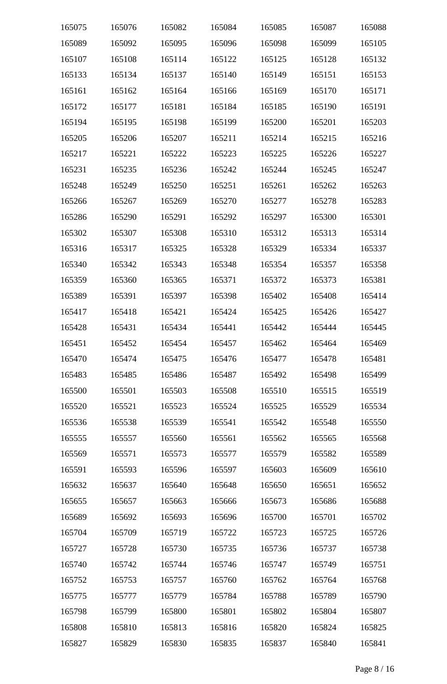| 165075 | 165076 | 165082 | 165084 | 165085 | 165087 | 165088 |
|--------|--------|--------|--------|--------|--------|--------|
| 165089 | 165092 | 165095 | 165096 | 165098 | 165099 | 165105 |
| 165107 | 165108 | 165114 | 165122 | 165125 | 165128 | 165132 |
| 165133 | 165134 | 165137 | 165140 | 165149 | 165151 | 165153 |
| 165161 | 165162 | 165164 | 165166 | 165169 | 165170 | 165171 |
| 165172 | 165177 | 165181 | 165184 | 165185 | 165190 | 165191 |
| 165194 | 165195 | 165198 | 165199 | 165200 | 165201 | 165203 |
| 165205 | 165206 | 165207 | 165211 | 165214 | 165215 | 165216 |
| 165217 | 165221 | 165222 | 165223 | 165225 | 165226 | 165227 |
| 165231 | 165235 | 165236 | 165242 | 165244 | 165245 | 165247 |
| 165248 | 165249 | 165250 | 165251 | 165261 | 165262 | 165263 |
| 165266 | 165267 | 165269 | 165270 | 165277 | 165278 | 165283 |
| 165286 | 165290 | 165291 | 165292 | 165297 | 165300 | 165301 |
| 165302 | 165307 | 165308 | 165310 | 165312 | 165313 | 165314 |
| 165316 | 165317 | 165325 | 165328 | 165329 | 165334 | 165337 |
| 165340 | 165342 | 165343 | 165348 | 165354 | 165357 | 165358 |
| 165359 | 165360 | 165365 | 165371 | 165372 | 165373 | 165381 |
| 165389 | 165391 | 165397 | 165398 | 165402 | 165408 | 165414 |
| 165417 | 165418 | 165421 | 165424 | 165425 | 165426 | 165427 |
| 165428 | 165431 | 165434 | 165441 | 165442 | 165444 | 165445 |
| 165451 | 165452 | 165454 | 165457 | 165462 | 165464 | 165469 |
| 165470 | 165474 | 165475 | 165476 | 165477 | 165478 | 165481 |
| 165483 | 165485 | 165486 | 165487 | 165492 | 165498 | 165499 |
| 165500 | 165501 | 165503 | 165508 | 165510 | 165515 | 165519 |
| 165520 | 165521 | 165523 | 165524 | 165525 | 165529 | 165534 |
| 165536 | 165538 | 165539 | 165541 | 165542 | 165548 | 165550 |
| 165555 | 165557 | 165560 | 165561 | 165562 | 165565 | 165568 |
| 165569 | 165571 | 165573 | 165577 | 165579 | 165582 | 165589 |
| 165591 | 165593 | 165596 | 165597 | 165603 | 165609 | 165610 |
| 165632 | 165637 | 165640 | 165648 | 165650 | 165651 | 165652 |
| 165655 | 165657 | 165663 | 165666 | 165673 | 165686 | 165688 |
| 165689 | 165692 | 165693 | 165696 | 165700 | 165701 | 165702 |
| 165704 | 165709 | 165719 | 165722 | 165723 | 165725 | 165726 |
| 165727 | 165728 | 165730 | 165735 | 165736 | 165737 | 165738 |
| 165740 | 165742 | 165744 | 165746 | 165747 | 165749 | 165751 |
| 165752 | 165753 | 165757 | 165760 | 165762 | 165764 | 165768 |
| 165775 | 165777 | 165779 | 165784 | 165788 | 165789 | 165790 |
| 165798 | 165799 | 165800 | 165801 | 165802 | 165804 | 165807 |
| 165808 | 165810 | 165813 | 165816 | 165820 | 165824 | 165825 |
| 165827 | 165829 | 165830 | 165835 | 165837 | 165840 | 165841 |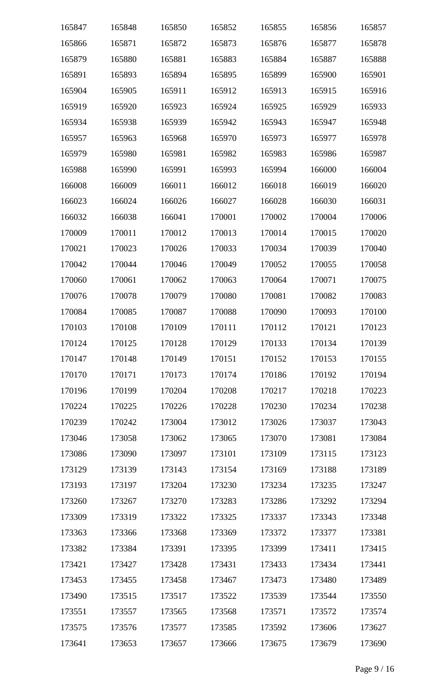| 165847 | 165848 | 165850 | 165852 | 165855 | 165856 | 165857 |
|--------|--------|--------|--------|--------|--------|--------|
| 165866 | 165871 | 165872 | 165873 | 165876 | 165877 | 165878 |
| 165879 | 165880 | 165881 | 165883 | 165884 | 165887 | 165888 |
| 165891 | 165893 | 165894 | 165895 | 165899 | 165900 | 165901 |
| 165904 | 165905 | 165911 | 165912 | 165913 | 165915 | 165916 |
| 165919 | 165920 | 165923 | 165924 | 165925 | 165929 | 165933 |
| 165934 | 165938 | 165939 | 165942 | 165943 | 165947 | 165948 |
| 165957 | 165963 | 165968 | 165970 | 165973 | 165977 | 165978 |
| 165979 | 165980 | 165981 | 165982 | 165983 | 165986 | 165987 |
| 165988 | 165990 | 165991 | 165993 | 165994 | 166000 | 166004 |
| 166008 | 166009 | 166011 | 166012 | 166018 | 166019 | 166020 |
| 166023 | 166024 | 166026 | 166027 | 166028 | 166030 | 166031 |
| 166032 | 166038 | 166041 | 170001 | 170002 | 170004 | 170006 |
| 170009 | 170011 | 170012 | 170013 | 170014 | 170015 | 170020 |
| 170021 | 170023 | 170026 | 170033 | 170034 | 170039 | 170040 |
| 170042 | 170044 | 170046 | 170049 | 170052 | 170055 | 170058 |
| 170060 | 170061 | 170062 | 170063 | 170064 | 170071 | 170075 |
| 170076 | 170078 | 170079 | 170080 | 170081 | 170082 | 170083 |
| 170084 | 170085 | 170087 | 170088 | 170090 | 170093 | 170100 |
| 170103 | 170108 | 170109 | 170111 | 170112 | 170121 | 170123 |
| 170124 | 170125 | 170128 | 170129 | 170133 | 170134 | 170139 |
| 170147 | 170148 | 170149 | 170151 | 170152 | 170153 | 170155 |
| 170170 | 170171 | 170173 | 170174 | 170186 | 170192 | 170194 |
| 170196 | 170199 | 170204 | 170208 | 170217 | 170218 | 170223 |
| 170224 | 170225 | 170226 | 170228 | 170230 | 170234 | 170238 |
| 170239 | 170242 | 173004 | 173012 | 173026 | 173037 | 173043 |
| 173046 | 173058 | 173062 | 173065 | 173070 | 173081 | 173084 |
| 173086 | 173090 | 173097 | 173101 | 173109 | 173115 | 173123 |
| 173129 | 173139 | 173143 | 173154 | 173169 | 173188 | 173189 |
| 173193 | 173197 | 173204 | 173230 | 173234 | 173235 | 173247 |
| 173260 | 173267 | 173270 | 173283 | 173286 | 173292 | 173294 |
| 173309 | 173319 | 173322 | 173325 | 173337 | 173343 | 173348 |
| 173363 | 173366 | 173368 | 173369 | 173372 | 173377 | 173381 |
| 173382 | 173384 | 173391 | 173395 | 173399 | 173411 | 173415 |
| 173421 | 173427 | 173428 | 173431 | 173433 | 173434 | 173441 |
| 173453 | 173455 | 173458 | 173467 | 173473 | 173480 | 173489 |
| 173490 | 173515 | 173517 | 173522 | 173539 | 173544 | 173550 |
| 173551 | 173557 | 173565 | 173568 | 173571 | 173572 | 173574 |
| 173575 | 173576 | 173577 | 173585 | 173592 | 173606 | 173627 |
| 173641 | 173653 | 173657 | 173666 | 173675 | 173679 | 173690 |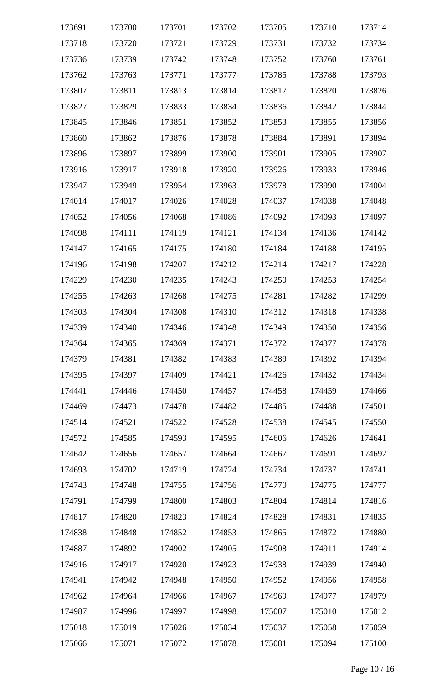| 173691 | 173700 | 173701 | 173702 | 173705 | 173710 | 173714 |
|--------|--------|--------|--------|--------|--------|--------|
| 173718 | 173720 | 173721 | 173729 | 173731 | 173732 | 173734 |
| 173736 | 173739 | 173742 | 173748 | 173752 | 173760 | 173761 |
| 173762 | 173763 | 173771 | 173777 | 173785 | 173788 | 173793 |
| 173807 | 173811 | 173813 | 173814 | 173817 | 173820 | 173826 |
| 173827 | 173829 | 173833 | 173834 | 173836 | 173842 | 173844 |
| 173845 | 173846 | 173851 | 173852 | 173853 | 173855 | 173856 |
| 173860 | 173862 | 173876 | 173878 | 173884 | 173891 | 173894 |
| 173896 | 173897 | 173899 | 173900 | 173901 | 173905 | 173907 |
| 173916 | 173917 | 173918 | 173920 | 173926 | 173933 | 173946 |
| 173947 | 173949 | 173954 | 173963 | 173978 | 173990 | 174004 |
| 174014 | 174017 | 174026 | 174028 | 174037 | 174038 | 174048 |
| 174052 | 174056 | 174068 | 174086 | 174092 | 174093 | 174097 |
| 174098 | 174111 | 174119 | 174121 | 174134 | 174136 | 174142 |
| 174147 | 174165 | 174175 | 174180 | 174184 | 174188 | 174195 |
| 174196 | 174198 | 174207 | 174212 | 174214 | 174217 | 174228 |
| 174229 | 174230 | 174235 | 174243 | 174250 | 174253 | 174254 |
| 174255 | 174263 | 174268 | 174275 | 174281 | 174282 | 174299 |
| 174303 | 174304 | 174308 | 174310 | 174312 | 174318 | 174338 |
| 174339 | 174340 | 174346 | 174348 | 174349 | 174350 | 174356 |
| 174364 | 174365 | 174369 | 174371 | 174372 | 174377 | 174378 |
| 174379 | 174381 | 174382 | 174383 | 174389 | 174392 | 174394 |
| 174395 | 174397 | 174409 | 174421 | 174426 | 174432 | 174434 |
| 174441 | 174446 | 174450 | 174457 | 174458 | 174459 | 174466 |
| 174469 | 174473 | 174478 | 174482 | 174485 | 174488 | 174501 |
| 174514 | 174521 | 174522 | 174528 | 174538 | 174545 | 174550 |
| 174572 | 174585 | 174593 | 174595 | 174606 | 174626 | 174641 |
| 174642 | 174656 | 174657 | 174664 | 174667 | 174691 | 174692 |
| 174693 | 174702 | 174719 | 174724 | 174734 | 174737 | 174741 |
| 174743 | 174748 | 174755 | 174756 | 174770 | 174775 | 174777 |
| 174791 | 174799 | 174800 | 174803 | 174804 | 174814 | 174816 |
| 174817 | 174820 | 174823 | 174824 | 174828 | 174831 | 174835 |
| 174838 | 174848 | 174852 | 174853 | 174865 | 174872 | 174880 |
| 174887 | 174892 | 174902 | 174905 | 174908 | 174911 | 174914 |
| 174916 | 174917 | 174920 | 174923 | 174938 | 174939 | 174940 |
| 174941 | 174942 | 174948 | 174950 | 174952 | 174956 | 174958 |
| 174962 | 174964 | 174966 | 174967 | 174969 | 174977 | 174979 |
| 174987 | 174996 | 174997 | 174998 | 175007 | 175010 | 175012 |
| 175018 | 175019 | 175026 | 175034 | 175037 | 175058 | 175059 |
| 175066 | 175071 | 175072 | 175078 | 175081 | 175094 | 175100 |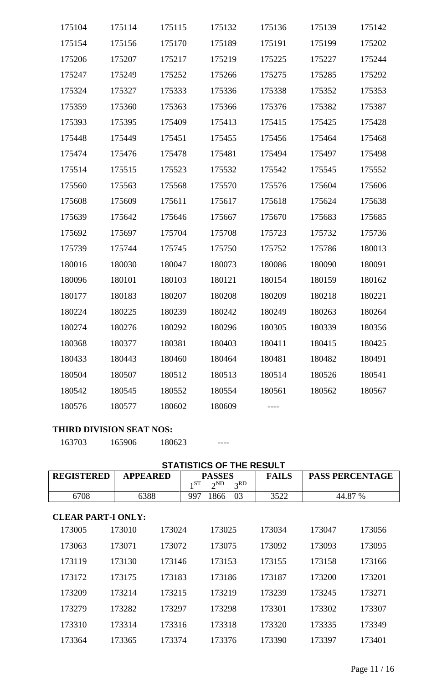| 175104 | 175114 | 175115 | 175132 | 175136 | 175139 | 175142 |
|--------|--------|--------|--------|--------|--------|--------|
| 175154 | 175156 | 175170 | 175189 | 175191 | 175199 | 175202 |
| 175206 | 175207 | 175217 | 175219 | 175225 | 175227 | 175244 |
| 175247 | 175249 | 175252 | 175266 | 175275 | 175285 | 175292 |
| 175324 | 175327 | 175333 | 175336 | 175338 | 175352 | 175353 |
| 175359 | 175360 | 175363 | 175366 | 175376 | 175382 | 175387 |
| 175393 | 175395 | 175409 | 175413 | 175415 | 175425 | 175428 |
| 175448 | 175449 | 175451 | 175455 | 175456 | 175464 | 175468 |
| 175474 | 175476 | 175478 | 175481 | 175494 | 175497 | 175498 |
| 175514 | 175515 | 175523 | 175532 | 175542 | 175545 | 175552 |
| 175560 | 175563 | 175568 | 175570 | 175576 | 175604 | 175606 |
| 175608 | 175609 | 175611 | 175617 | 175618 | 175624 | 175638 |
| 175639 | 175642 | 175646 | 175667 | 175670 | 175683 | 175685 |
| 175692 | 175697 | 175704 | 175708 | 175723 | 175732 | 175736 |
| 175739 | 175744 | 175745 | 175750 | 175752 | 175786 | 180013 |
| 180016 | 180030 | 180047 | 180073 | 180086 | 180090 | 180091 |
| 180096 | 180101 | 180103 | 180121 | 180154 | 180159 | 180162 |
| 180177 | 180183 | 180207 | 180208 | 180209 | 180218 | 180221 |
| 180224 | 180225 | 180239 | 180242 | 180249 | 180263 | 180264 |
| 180274 | 180276 | 180292 | 180296 | 180305 | 180339 | 180356 |
| 180368 | 180377 | 180381 | 180403 | 180411 | 180415 | 180425 |
| 180433 | 180443 | 180460 | 180464 | 180481 | 180482 | 180491 |
| 180504 | 180507 | 180512 | 180513 | 180514 | 180526 | 180541 |
| 180542 | 180545 | 180552 | 180554 | 180561 | 180562 | 180567 |
| 180576 | 180577 | 180602 | 180609 |        |        |        |

## **THIRD DIVISION SEAT NOS:**

|  | 163703 | ---- | 180623 | 165906 |
|--|--------|------|--------|--------|
|--|--------|------|--------|--------|

# **STATISTICS OF THE RESULT**

| <b>REGISTERED</b>         | <b>APPEARED</b> | $1^{ST}$ | <b>PASSES</b><br>2 <sub>ND</sub><br>3 <sub>RD</sub> | <b>FAILS</b> | <b>PASS PERCENTAGE</b> |        |  |  |
|---------------------------|-----------------|----------|-----------------------------------------------------|--------------|------------------------|--------|--|--|
| 6708                      | 6388            | 997      | 03<br>1866                                          | 3522         | 44.87 %                |        |  |  |
| <b>CLEAR PART-I ONLY:</b> |                 |          |                                                     |              |                        |        |  |  |
| 173005                    | 173010          | 173024   | 173025                                              | 173034       | 173047                 | 173056 |  |  |
| 173063                    | 173071          | 173072   | 173075                                              | 173092       | 173093                 | 173095 |  |  |
| 173119                    | 173130          | 173146   | 173153                                              | 173155       | 173158                 | 173166 |  |  |
| 173172                    | 173175          | 173183   | 173186                                              | 173187       | 173200                 | 173201 |  |  |
| 173209                    | 173214          | 173215   | 173219                                              | 173239       | 173245                 | 173271 |  |  |
| 173279                    | 173282          | 173297   | 173298                                              | 173301       | 173302                 | 173307 |  |  |
| 173310                    | 173314          | 173316   | 173318                                              | 173320       | 173335                 | 173349 |  |  |
| 173364                    | 173365          | 173374   | 173376                                              | 173390       | 173397                 | 173401 |  |  |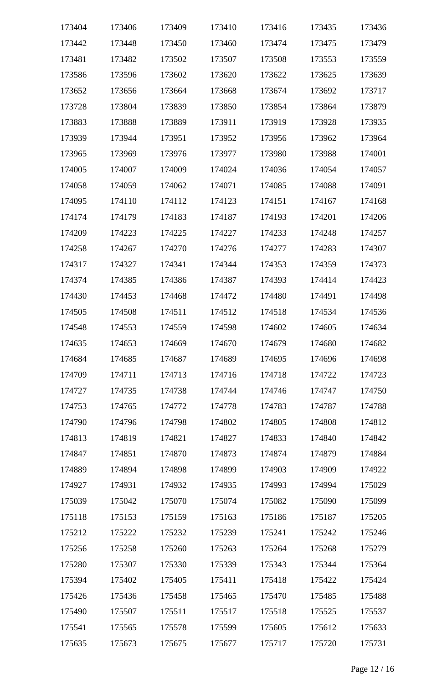| 173404 | 173406 | 173409 | 173410 | 173416 | 173435 | 173436 |
|--------|--------|--------|--------|--------|--------|--------|
| 173442 | 173448 | 173450 | 173460 | 173474 | 173475 | 173479 |
| 173481 | 173482 | 173502 | 173507 | 173508 | 173553 | 173559 |
| 173586 | 173596 | 173602 | 173620 | 173622 | 173625 | 173639 |
| 173652 | 173656 | 173664 | 173668 | 173674 | 173692 | 173717 |
| 173728 | 173804 | 173839 | 173850 | 173854 | 173864 | 173879 |
| 173883 | 173888 | 173889 | 173911 | 173919 | 173928 | 173935 |
| 173939 | 173944 | 173951 | 173952 | 173956 | 173962 | 173964 |
| 173965 | 173969 | 173976 | 173977 | 173980 | 173988 | 174001 |
| 174005 | 174007 | 174009 | 174024 | 174036 | 174054 | 174057 |
| 174058 | 174059 | 174062 | 174071 | 174085 | 174088 | 174091 |
| 174095 | 174110 | 174112 | 174123 | 174151 | 174167 | 174168 |
| 174174 | 174179 | 174183 | 174187 | 174193 | 174201 | 174206 |
| 174209 | 174223 | 174225 | 174227 | 174233 | 174248 | 174257 |
| 174258 | 174267 | 174270 | 174276 | 174277 | 174283 | 174307 |
| 174317 | 174327 | 174341 | 174344 | 174353 | 174359 | 174373 |
| 174374 | 174385 | 174386 | 174387 | 174393 | 174414 | 174423 |
| 174430 | 174453 | 174468 | 174472 | 174480 | 174491 | 174498 |
| 174505 | 174508 | 174511 | 174512 | 174518 | 174534 | 174536 |
| 174548 | 174553 | 174559 | 174598 | 174602 | 174605 | 174634 |
| 174635 | 174653 | 174669 | 174670 | 174679 | 174680 | 174682 |
| 174684 | 174685 | 174687 | 174689 | 174695 | 174696 | 174698 |
| 174709 | 174711 | 174713 | 174716 | 174718 | 174722 | 174723 |
| 174727 | 174735 | 174738 | 174744 | 174746 | 174747 | 174750 |
| 174753 | 174765 | 174772 | 174778 | 174783 | 174787 | 174788 |
| 174790 | 174796 | 174798 | 174802 | 174805 | 174808 | 174812 |
| 174813 | 174819 | 174821 | 174827 | 174833 | 174840 | 174842 |
| 174847 | 174851 | 174870 | 174873 | 174874 | 174879 | 174884 |
| 174889 | 174894 | 174898 | 174899 | 174903 | 174909 | 174922 |
| 174927 | 174931 | 174932 | 174935 | 174993 | 174994 | 175029 |
| 175039 | 175042 | 175070 | 175074 | 175082 | 175090 | 175099 |
| 175118 | 175153 | 175159 | 175163 | 175186 | 175187 | 175205 |
| 175212 | 175222 | 175232 | 175239 | 175241 | 175242 | 175246 |
| 175256 | 175258 | 175260 | 175263 | 175264 | 175268 | 175279 |
| 175280 | 175307 | 175330 | 175339 | 175343 | 175344 | 175364 |
| 175394 | 175402 | 175405 | 175411 | 175418 | 175422 | 175424 |
| 175426 | 175436 | 175458 | 175465 | 175470 | 175485 | 175488 |
| 175490 | 175507 | 175511 | 175517 | 175518 | 175525 | 175537 |
| 175541 | 175565 | 175578 | 175599 | 175605 | 175612 | 175633 |
| 175635 | 175673 | 175675 | 175677 | 175717 | 175720 | 175731 |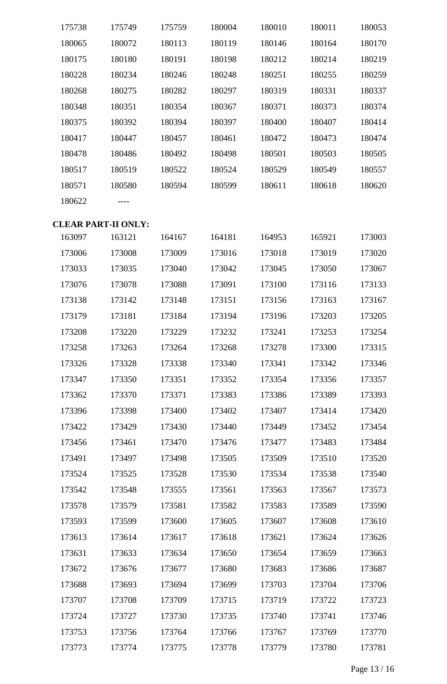| 175738 | 175749                     | 175759 | 180004 | 180010 | 180011 | 180053 |
|--------|----------------------------|--------|--------|--------|--------|--------|
| 180065 | 180072                     | 180113 | 180119 | 180146 | 180164 | 180170 |
| 180175 | 180180                     | 180191 | 180198 | 180212 | 180214 | 180219 |
| 180228 | 180234                     | 180246 | 180248 | 180251 | 180255 | 180259 |
| 180268 | 180275                     | 180282 | 180297 | 180319 | 180331 | 180337 |
| 180348 | 180351                     | 180354 | 180367 | 180371 | 180373 | 180374 |
| 180375 | 180392                     | 180394 | 180397 | 180400 | 180407 | 180414 |
| 180417 | 180447                     | 180457 | 180461 | 180472 | 180473 | 180474 |
| 180478 | 180486                     | 180492 | 180498 | 180501 | 180503 | 180505 |
| 180517 | 180519                     | 180522 | 180524 | 180529 | 180549 | 180557 |
| 180571 | 180580                     | 180594 | 180599 | 180611 | 180618 | 180620 |
| 180622 |                            |        |        |        |        |        |
|        | <b>CLEAR PART-II ONLY:</b> |        |        |        |        |        |
| 163097 | 163121                     | 164167 | 164181 | 164953 | 165921 | 173003 |
| 173006 | 173008                     | 173009 | 173016 | 173018 | 173019 | 173020 |
| 173033 | 173035                     | 173040 | 173042 | 173045 | 173050 | 173067 |
| 173076 | 173078                     | 173088 | 173091 | 173100 | 173116 | 173133 |
| 173138 | 173142                     | 173148 | 173151 | 173156 | 173163 | 173167 |
| 173179 | 173181                     | 173184 | 173194 | 173196 | 173203 | 173205 |
| 173208 | 173220                     | 173229 | 173232 | 173241 | 173253 | 173254 |
| 173258 | 173263                     | 173264 | 173268 | 173278 | 173300 | 173315 |
| 173326 | 173328                     | 173338 | 173340 | 173341 | 173342 | 173346 |
| 173347 | 173350                     | 173351 | 173352 | 173354 | 173356 | 173357 |
| 173362 | 173370                     | 173371 | 173383 | 173386 | 173389 | 173393 |
| 173396 | 173398                     | 173400 | 173402 | 173407 | 173414 | 173420 |
| 173422 | 173429                     | 173430 | 173440 | 173449 | 173452 | 173454 |
| 173456 | 173461                     | 173470 | 173476 | 173477 | 173483 | 173484 |
| 173491 | 173497                     | 173498 | 173505 | 173509 | 173510 | 173520 |
| 173524 | 173525                     | 173528 | 173530 | 173534 | 173538 | 173540 |
| 173542 | 173548                     | 173555 | 173561 | 173563 | 173567 | 173573 |
| 173578 | 173579                     | 173581 | 173582 | 173583 | 173589 | 173590 |
| 173593 | 173599                     | 173600 | 173605 | 173607 | 173608 | 173610 |
| 173613 | 173614                     | 173617 | 173618 | 173621 | 173624 | 173626 |
| 173631 | 173633                     | 173634 | 173650 | 173654 | 173659 | 173663 |
| 173672 | 173676                     | 173677 | 173680 | 173683 | 173686 | 173687 |
| 173688 | 173693                     | 173694 | 173699 | 173703 | 173704 | 173706 |
| 173707 | 173708                     | 173709 | 173715 | 173719 | 173722 | 173723 |
| 173724 | 173727                     | 173730 | 173735 | 173740 | 173741 | 173746 |
| 173753 | 173756                     | 173764 | 173766 | 173767 | 173769 | 173770 |
| 173773 | 173774                     | 173775 | 173778 | 173779 | 173780 | 173781 |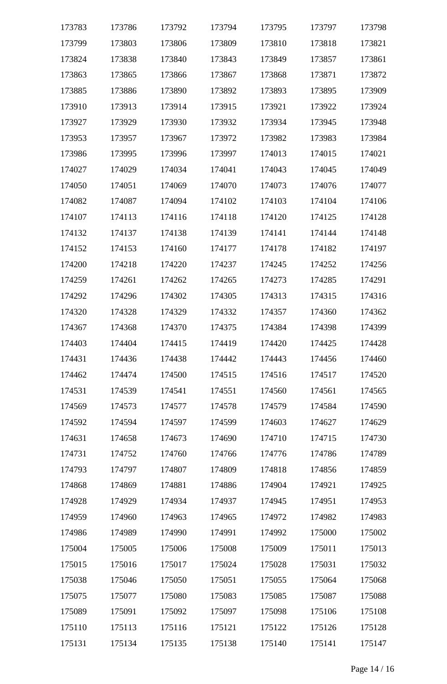| 173783 | 173786 | 173792 | 173794 | 173795 | 173797 | 173798 |
|--------|--------|--------|--------|--------|--------|--------|
| 173799 | 173803 | 173806 | 173809 | 173810 | 173818 | 173821 |
| 173824 | 173838 | 173840 | 173843 | 173849 | 173857 | 173861 |
| 173863 | 173865 | 173866 | 173867 | 173868 | 173871 | 173872 |
| 173885 | 173886 | 173890 | 173892 | 173893 | 173895 | 173909 |
| 173910 | 173913 | 173914 | 173915 | 173921 | 173922 | 173924 |
| 173927 | 173929 | 173930 | 173932 | 173934 | 173945 | 173948 |
| 173953 | 173957 | 173967 | 173972 | 173982 | 173983 | 173984 |
| 173986 | 173995 | 173996 | 173997 | 174013 | 174015 | 174021 |
| 174027 | 174029 | 174034 | 174041 | 174043 | 174045 | 174049 |
| 174050 | 174051 | 174069 | 174070 | 174073 | 174076 | 174077 |
| 174082 | 174087 | 174094 | 174102 | 174103 | 174104 | 174106 |
| 174107 | 174113 | 174116 | 174118 | 174120 | 174125 | 174128 |
| 174132 | 174137 | 174138 | 174139 | 174141 | 174144 | 174148 |
| 174152 | 174153 | 174160 | 174177 | 174178 | 174182 | 174197 |
| 174200 | 174218 | 174220 | 174237 | 174245 | 174252 | 174256 |
| 174259 | 174261 | 174262 | 174265 | 174273 | 174285 | 174291 |
| 174292 | 174296 | 174302 | 174305 | 174313 | 174315 | 174316 |
| 174320 | 174328 | 174329 | 174332 | 174357 | 174360 | 174362 |
| 174367 | 174368 | 174370 | 174375 | 174384 | 174398 | 174399 |
| 174403 | 174404 | 174415 | 174419 | 174420 | 174425 | 174428 |
| 174431 | 174436 | 174438 | 174442 | 174443 | 174456 | 174460 |
| 174462 | 174474 | 174500 | 174515 | 174516 | 174517 | 174520 |
| 174531 | 174539 | 174541 | 174551 | 174560 | 174561 | 174565 |
| 174569 | 174573 | 174577 | 174578 | 174579 | 174584 | 174590 |
| 174592 | 174594 | 174597 | 174599 | 174603 | 174627 | 174629 |
| 174631 | 174658 | 174673 | 174690 | 174710 | 174715 | 174730 |
| 174731 | 174752 | 174760 | 174766 | 174776 | 174786 | 174789 |
| 174793 | 174797 | 174807 | 174809 | 174818 | 174856 | 174859 |
| 174868 | 174869 | 174881 | 174886 | 174904 | 174921 | 174925 |
| 174928 | 174929 | 174934 | 174937 | 174945 | 174951 | 174953 |
| 174959 | 174960 | 174963 | 174965 | 174972 | 174982 | 174983 |
| 174986 | 174989 | 174990 | 174991 | 174992 | 175000 | 175002 |
| 175004 | 175005 | 175006 | 175008 | 175009 | 175011 | 175013 |
| 175015 | 175016 | 175017 | 175024 | 175028 | 175031 | 175032 |
| 175038 | 175046 | 175050 | 175051 | 175055 | 175064 | 175068 |
| 175075 | 175077 | 175080 | 175083 | 175085 | 175087 | 175088 |
| 175089 | 175091 | 175092 | 175097 | 175098 | 175106 | 175108 |
| 175110 | 175113 | 175116 | 175121 | 175122 | 175126 | 175128 |
| 175131 | 175134 | 175135 | 175138 | 175140 | 175141 | 175147 |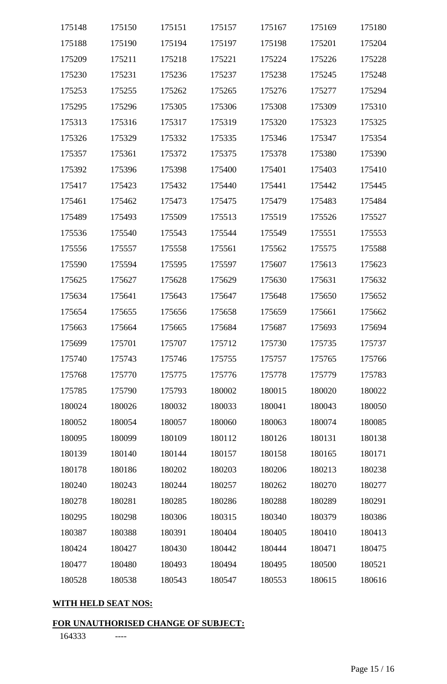| 175148 | 175150 | 175151 | 175157 | 175167 | 175169 | 175180 |
|--------|--------|--------|--------|--------|--------|--------|
| 175188 | 175190 | 175194 | 175197 | 175198 | 175201 | 175204 |
| 175209 | 175211 | 175218 | 175221 | 175224 | 175226 | 175228 |
| 175230 | 175231 | 175236 | 175237 | 175238 | 175245 | 175248 |
| 175253 | 175255 | 175262 | 175265 | 175276 | 175277 | 175294 |
| 175295 | 175296 | 175305 | 175306 | 175308 | 175309 | 175310 |
| 175313 | 175316 | 175317 | 175319 | 175320 | 175323 | 175325 |
| 175326 | 175329 | 175332 | 175335 | 175346 | 175347 | 175354 |
| 175357 | 175361 | 175372 | 175375 | 175378 | 175380 | 175390 |
| 175392 | 175396 | 175398 | 175400 | 175401 | 175403 | 175410 |
| 175417 | 175423 | 175432 | 175440 | 175441 | 175442 | 175445 |
| 175461 | 175462 | 175473 | 175475 | 175479 | 175483 | 175484 |
| 175489 | 175493 | 175509 | 175513 | 175519 | 175526 | 175527 |
| 175536 | 175540 | 175543 | 175544 | 175549 | 175551 | 175553 |
| 175556 | 175557 | 175558 | 175561 | 175562 | 175575 | 175588 |
| 175590 | 175594 | 175595 | 175597 | 175607 | 175613 | 175623 |
| 175625 | 175627 | 175628 | 175629 | 175630 | 175631 | 175632 |
| 175634 | 175641 | 175643 | 175647 | 175648 | 175650 | 175652 |
| 175654 | 175655 | 175656 | 175658 | 175659 | 175661 | 175662 |
| 175663 | 175664 | 175665 | 175684 | 175687 | 175693 | 175694 |
| 175699 | 175701 | 175707 | 175712 | 175730 | 175735 | 175737 |
| 175740 | 175743 | 175746 | 175755 | 175757 | 175765 | 175766 |
| 175768 | 175770 | 175775 | 175776 | 175778 | 175779 | 175783 |
| 175785 | 175790 | 175793 | 180002 | 180015 | 180020 | 180022 |
| 180024 | 180026 | 180032 | 180033 | 180041 | 180043 | 180050 |
| 180052 | 180054 | 180057 | 180060 | 180063 | 180074 | 180085 |
| 180095 | 180099 | 180109 | 180112 | 180126 | 180131 | 180138 |
| 180139 | 180140 | 180144 | 180157 | 180158 | 180165 | 180171 |
| 180178 | 180186 | 180202 | 180203 | 180206 | 180213 | 180238 |
| 180240 | 180243 | 180244 | 180257 | 180262 | 180270 | 180277 |
| 180278 | 180281 | 180285 | 180286 | 180288 | 180289 | 180291 |
| 180295 | 180298 | 180306 | 180315 | 180340 | 180379 | 180386 |
| 180387 | 180388 | 180391 | 180404 | 180405 | 180410 | 180413 |
| 180424 | 180427 | 180430 | 180442 | 180444 | 180471 | 180475 |
| 180477 | 180480 | 180493 | 180494 | 180495 | 180500 | 180521 |
| 180528 | 180538 | 180543 | 180547 | 180553 | 180615 | 180616 |

# **WITH HELD SEAT NOS:**

# **FOR UNAUTHORISED CHANGE OF SUBJECT:**

----